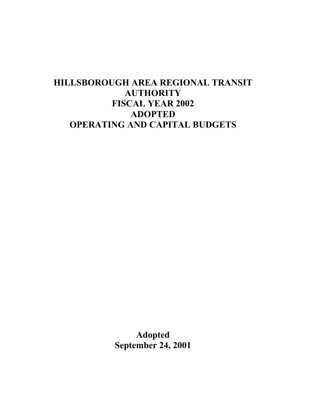# **HILLSBOROUGH AREA REGIONAL TRANSIT AUTHORITY FISCAL YEAR 2002 ADOPTED OPERATING AND CAPITAL BUDGETS**

**Adopted September 24, 2001**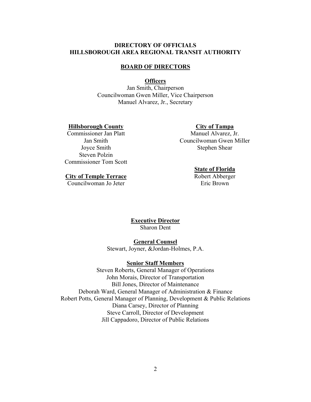# **DIRECTORY OF OFFICIALS HILLSBOROUGH AREA REGIONAL TRANSIT AUTHORITY**

### **BOARD OF DIRECTORS**

### **Officers**

Jan Smith, Chairperson Councilwoman Gwen Miller, Vice Chairperson Manuel Alvarez, Jr., Secretary

### **Hillsborough County**

Commissioner Jan Platt Jan Smith Joyce Smith Steven Polzin Commissioner Tom Scott

### **City of Tampa**

Manuel Alvarez, Jr. Councilwoman Gwen Miller Stephen Shear

#### **State of Florida**

Robert Abberger Eric Brown

**City of Temple Terrace**

Councilwoman Jo Jeter

### **Executive Director** Sharon Dent

#### **General Counsel**

Stewart, Joyner, &Jordan-Holmes, P.A.

#### **Senior Staff Members**

Steven Roberts, General Manager of Operations John Morais, Director of Transportation Bill Jones, Director of Maintenance Deborah Ward, General Manager of Administration & Finance Robert Potts, General Manager of Planning, Development & Public Relations Diana Carsey, Director of Planning Steve Carroll, Director of Development Jill Cappadoro, Director of Public Relations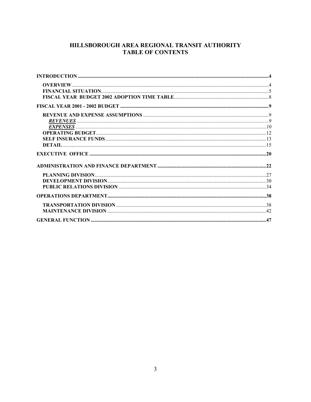# HILLSBOROUGH AREA REGIONAL TRANSIT AUTHORITY **TABLE OF CONTENTS**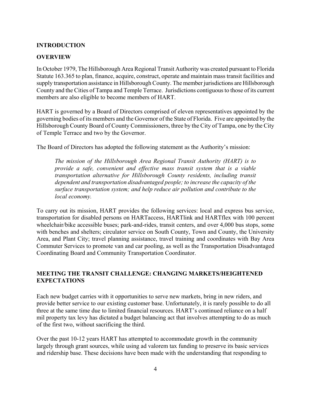## **INTRODUCTION**

### **OVERVIEW**

In October 1979, The Hillsborough Area Regional Transit Authority was created pursuant to Florida Statute 163.365 to plan, finance, acquire, construct, operate and maintain mass transit facilities and supply transportation assistance in Hillsborough County. The member jurisdictions are Hillsborough County and the Cities of Tampa and Temple Terrace. Jurisdictions contiguous to those of its current members are also eligible to become members of HART.

HART is governed by a Board of Directors comprised of eleven representatives appointed by the governing bodies of its members and the Governor of the State of Florida. Five are appointed by the Hillsborough County Board of County Commissioners, three by the City of Tampa, one by the City of Temple Terrace and two by the Governor.

The Board of Directors has adopted the following statement as the Authority's mission:

*The mission of the Hillsborough Area Regional Transit Authority (HART) is to provide a safe, convenient and effective mass transit system that is a viable transportation alternative for Hillsborough County residents, including transit dependent and transportation disadvantaged people; to increase the capacity of the surface transportation system; and help reduce air pollution and contribute to the local economy.*

To carry out its mission, HART provides the following services: local and express bus service, transportation for disabled persons on HARTaccess, HARTlink and HARTflex with 100 percent wheelchair/bike accessible buses; park-and-rides, transit centers, and over 4,000 bus stops, some with benches and shelters; circulator service on South County, Town and County, the University Area, and Plant City; travel planning assistance, travel training and coordinates with Bay Area Commuter Services to promote van and car pooling, as well as the Transportation Disadvantaged Coordinating Board and Community Transportation Coordinator.

### **MEETING THE TRANSIT CHALLENGE: CHANGING MARKETS/HEIGHTENED EXPECTATIONS**

Each new budget carries with it opportunities to serve new markets, bring in new riders, and provide better service to our existing customer base. Unfortunately, it is rarely possible to do all three at the same time due to limited financial resources. HART's continued reliance on a half mil property tax levy has dictated a budget balancing act that involves attempting to do as much of the first two, without sacrificing the third.

Over the past 10-12 years HART has attempted to accommodate growth in the community largely through grant sources, while using ad valorem tax funding to preserve its basic services and ridership base. These decisions have been made with the understanding that responding to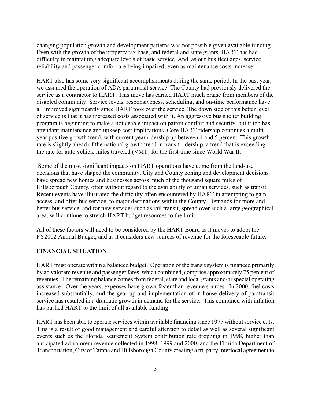changing population growth and development patterns was not possible given available funding. Even with the growth of the property tax base, and federal and state grants, HART has had difficulty in maintaining adequate levels of basic service. And, as our bus fleet ages, service reliability and passenger comfort are being impaired, even as maintenance costs increase.

HART also has some very significant accomplishments during the same period. In the past year, we assumed the operation of ADA paratransit service. The County had previously delivered the service as a contractor to HART. This move has earned HART much praise from members of the disabled community. Service levels, responsiveness, scheduling, and on-time performance have all improved significantly since HART took over the service. The down side of this better level of service is that it has increased costs associated with it. An aggressive bus shelter building program is beginning to make a noticeable impact on patron comfort and security, but it too has attendant maintenance and upkeep cost implications. Core HART ridership continues a multiyear positive growth trend, with current year ridership up between 4 and 5 percent. This growth rate is slightly ahead of the national growth trend in transit ridership, a trend that is exceeding the rate for auto vehicle miles traveled (VMT) for the first time since World War II.

 Some of the most significant impacts on HART operations have come from the land-use decisions that have shaped the community. City and County zoning and development decisions have spread new homes and businesses across much of the thousand square miles of Hillsborough County, often without regard to the availability of urban services, such as transit. Recent events have illustrated the difficulty often encountered by HART in attempting to gain access, and offer bus service, to major destinations within the County. Demands for more and better bus service, and for new services such as rail transit, spread over such a large geographical area, will continue to stretch HART budget resources to the limit

All of these factors will need to be considered by the HART Board as it moves to adopt the FY2002 Annual Budget, and as it considers new sources of revenue for the foreseeable future.

# **FINANCIAL SITUATION**

HART must operate within a balanced budget. Operation of the transit system is financed primarily by ad valorem revenue and passenger fares, which combined, comprise approximately 75 percent of revenues. The remaining balance comes from federal, state and local grants and/or special operating assistance. Over the years, expenses have grown faster than revenue sources. In 2000, fuel costs increased substantially, and the gear up and implementation of in-house delivery of paratransit service has resulted in a dramatic growth in demand for the service. This combined with inflation has pushed HART to the limit of all available funding.

HART has been able to operate services within available financing since 1977 without service cuts. This is a result of good management and careful attention to detail as well as several significant events such as the Florida Retirement System contribution rate dropping in 1998, higher than anticipated ad valorem revenue collected in 1998, 1999 and 2000, and the Florida Department of Transportation, City of Tampa and Hillsborough County creating a tri-party interlocal agreement to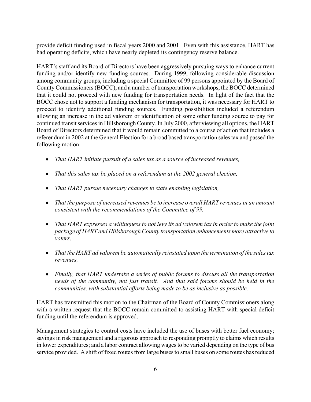provide deficit funding used in fiscal years 2000 and 2001. Even with this assistance, HART has had operating deficits, which have nearly depleted its contingency reserve balance.

HART's staff and its Board of Directors have been aggressively pursuing ways to enhance current funding and/or identify new funding sources. During 1999, following considerable discussion among community groups, including a special Committee of 99 persons appointed by the Board of County Commissioners (BOCC), and a number of transportation workshops, the BOCC determined that it could not proceed with new funding for transportation needs. In light of the fact that the BOCC chose not to support a funding mechanism for transportation, it was necessary for HART to proceed to identify additional funding sources. Funding possibilities included a referendum allowing an increase in the ad valorem or identification of some other funding source to pay for continued transit services in Hillsborough County. In July 2000, after viewing all options, the HART Board of Directors determined that it would remain committed to a course of action that includes a referendum in 2002 at the General Election for a broad based transportation sales tax and passed the following motion:

- *That HART initiate pursuit of a sales tax as a source of increased revenues,*
- *That this sales tax be placed on a referendum at the 2002 general election,*
- *That HART pursue necessary changes to state enabling legislation,*
- *That the purpose of increased revenues be to increase overall HART revenues in an amount consistent with the recommendations of the Committee of 99,*
- *That HART expresses a willingness to not levy its ad valorem tax in order to make the joint package of HART and Hillsborough County transportation enhancements more attractive to voters,*
- *That the HART ad valorem be automatically reinstated upon the termination of the sales tax revenues,*
- *Finally, that HART undertake a series of public forums to discuss all the transportation needs of the community, not just transit. And that said forums should be held in the communities, with substantial efforts being made to be as inclusive as possible.*

HART has transmitted this motion to the Chairman of the Board of County Commissioners along with a written request that the BOCC remain committed to assisting HART with special deficit funding until the referendum is approved.

Management strategies to control costs have included the use of buses with better fuel economy; savings in risk management and a rigorous approach to responding promptly to claims which results in lower expenditures; and a labor contract allowing wages to be varied depending on the type of bus service provided. A shift of fixed routes from large buses to small buses on some routes has reduced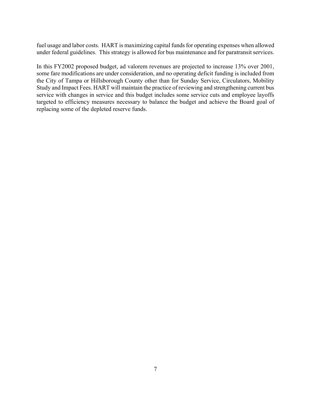fuel usage and labor costs. HART is maximizing capital funds for operating expenses when allowed under federal guidelines. This strategy is allowed for bus maintenance and for paratransit services.

In this FY2002 proposed budget, ad valorem revenues are projected to increase 13% over 2001, some fare modifications are under consideration, and no operating deficit funding is included from the City of Tampa or Hillsborough County other than for Sunday Service, Circulators, Mobility Study and Impact Fees. HART will maintain the practice of reviewing and strengthening current bus service with changes in service and this budget includes some service cuts and employee layoffs targeted to efficiency measures necessary to balance the budget and achieve the Board goal of replacing some of the depleted reserve funds.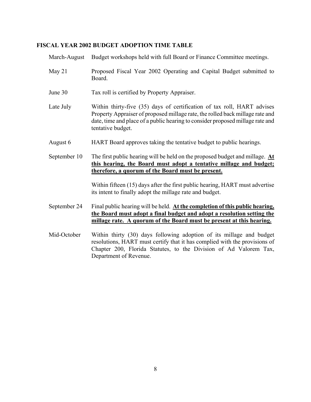# **FISCAL YEAR 2002 BUDGET ADOPTION TIME TABLE**

| March-August | Budget workshops held with full Board or Finance Committee meetings.                                                                                                                                                                                            |
|--------------|-----------------------------------------------------------------------------------------------------------------------------------------------------------------------------------------------------------------------------------------------------------------|
| May 21       | Proposed Fiscal Year 2002 Operating and Capital Budget submitted to<br>Board.                                                                                                                                                                                   |
| June 30      | Tax roll is certified by Property Appraiser.                                                                                                                                                                                                                    |
| Late July    | Within thirty-five (35) days of certification of tax roll, HART advises<br>Property Appraiser of proposed millage rate, the rolled back millage rate and<br>date, time and place of a public hearing to consider proposed millage rate and<br>tentative budget. |
| August 6     | HART Board approves taking the tentative budget to public hearings.                                                                                                                                                                                             |
| September 10 | The first public hearing will be held on the proposed budget and millage. $\Delta t$<br>this hearing, the Board must adopt a tentative millage and budget;<br>therefore, a quorum of the Board must be present.                                                 |
|              | Within fifteen (15) days after the first public hearing, HART must advertise<br>its intent to finally adopt the millage rate and budget.                                                                                                                        |
| September 24 | Final public hearing will be held. At the completion of this public hearing,<br>the Board must adopt a final budget and adopt a resolution setting the<br>millage rate. A quorum of the Board must be present at this hearing.                                  |
| Mid-October  | Within thirty (30) days following adoption of its millage and budget<br>resolutions, HART must certify that it has complied with the provisions of<br>Chapter 200, Florida Statutes, to the Division of Ad Valorem Tax,<br>Department of Revenue.               |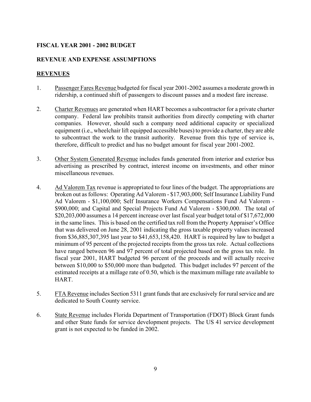# **FISCAL YEAR 2001 - 2002 BUDGET**

# **REVENUE AND EXPENSE ASSUMPTIONS**

# **REVENUES**

- 1. Passenger Fares Revenue budgeted for fiscal year 2001-2002 assumes a moderate growth in ridership, a continued shift of passengers to discount passes and a modest fare increase.
- 2. Charter Revenues are generated when HART becomes a subcontractor for a private charter company. Federal law prohibits transit authorities from directly competing with charter companies. However, should such a company need additional capacity or specialized equipment (i.e., wheelchair lift equipped accessible buses) to provide a charter, they are able to subcontract the work to the transit authority. Revenue from this type of service is, therefore, difficult to predict and has no budget amount for fiscal year 2001-2002.
- 3. Other System Generated Revenue includes funds generated from interior and exterior bus advertising as prescribed by contract, interest income on investments, and other minor miscellaneous revenues.
- 4. Ad Valorem Tax revenue is appropriated to four lines of the budget. The appropriations are broken out as follows: Operating Ad Valorem - \$17,903,000; Self Insurance Liability Fund Ad Valorem - \$1,100,000; Self Insurance Workers Compensations Fund Ad Valorem - \$900,000; and Capital and Special Projects Fund Ad Valorem - \$300,000. The total of \$20,203,000 assumes a 14 percent increase over last fiscal year budget total of \$17,672,000 in the same lines. This is based on the certified tax roll from the Property Appraiser's Office that was delivered on June 28, 2001 indicating the gross taxable property values increased from \$36,885,307,395 last year to \$41,653,158,420. HART is required by law to budget a minimum of 95 percent of the projected receipts from the gross tax role. Actual collections have ranged between 96 and 97 percent of total projected based on the gross tax role. In fiscal year 2001, HART budgeted 96 percent of the proceeds and will actually receive between \$10,000 to \$50,000 more than budgeted. This budget includes 97 percent of the estimated receipts at a millage rate of 0.50, which is the maximum millage rate available to HART.
- 5. FTA Revenue includes Section 5311 grant funds that are exclusively for rural service and are dedicated to South County service.
- 6. State Revenue includes Florida Department of Transportation (FDOT) Block Grant funds and other State funds for service development projects. The US 41 service development grant is not expected to be funded in 2002.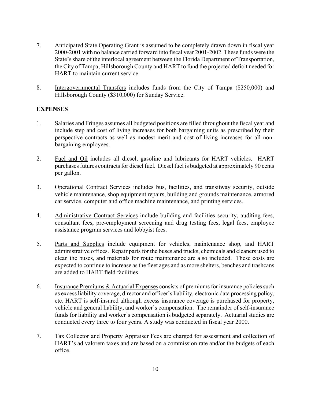- 7. Anticipated State Operating Grant is assumed to be completely drawn down in fiscal year 2000-2001 with no balance carried forward into fiscal year 2001-2002. These funds were the State's share of the interlocal agreement between the Florida Department of Transportation, the City of Tampa, Hillsborough County and HART to fund the projected deficit needed for HART to maintain current service.
- 8. Intergovernmental Transfers includes funds from the City of Tampa (\$250,000) and Hillsborough County (\$310,000) for Sunday Service.

### **EXPENSES**

- 1. Salaries and Fringes assumes all budgeted positions are filled throughout the fiscal year and include step and cost of living increases for both bargaining units as prescribed by their perspective contracts as well as modest merit and cost of living increases for all nonbargaining employees.
- 2. Fuel and Oil includes all diesel, gasoline and lubricants for HART vehicles. HART purchases futures contracts for diesel fuel. Diesel fuel is budgeted at approximately 90 cents per gallon.
- 3. Operational Contract Services includes bus, facilities, and transitway security, outside vehicle maintenance, shop equipment repairs, building and grounds maintenance, armored car service, computer and office machine maintenance, and printing services.
- 4. Administrative Contract Services include building and facilities security, auditing fees, consultant fees, pre-employment screening and drug testing fees, legal fees, employee assistance program services and lobbyist fees.
- 5. Parts and Supplies include equipment for vehicles, maintenance shop, and HART administrative offices. Repair parts for the buses and trucks, chemicals and cleaners used to clean the buses, and materials for route maintenance are also included. These costs are expected to continue to increase as the fleet ages and as more shelters, benches and trashcans are added to HART field facilities.
- 6. Insurance Premiums & Actuarial Expenses consists of premiums for insurance policies such as excess liability coverage, director and officer's liability, electronic data processing policy, etc. HART is self-insured although excess insurance coverage is purchased for property, vehicle and general liability, and worker's compensation. The remainder of self-insurance funds for liability and worker's compensation is budgeted separately. Actuarial studies are conducted every three to four years. A study was conducted in fiscal year 2000.
- 7. Tax Collector and Property Appraiser Fees are charged for assessment and collection of HART's ad valorem taxes and are based on a commission rate and/or the budgets of each office.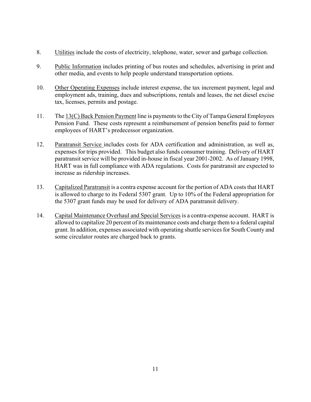- 8. Utilities include the costs of electricity, telephone, water, sewer and garbage collection.
- 9. Public Information includes printing of bus routes and schedules, advertising in print and other media, and events to help people understand transportation options.
- 10. Other Operating Expenses include interest expense, the tax increment payment, legal and employment ads, training, dues and subscriptions, rentals and leases, the net diesel excise tax, licenses, permits and postage.
- 11. The 13(C) Back Pension Payment line is payments to the City of Tampa General Employees Pension Fund. These costs represent a reimbursement of pension benefits paid to former employees of HART's predecessor organization.
- 12. Paratransit Service includes costs for ADA certification and administration, as well as, expenses for trips provided. This budget also funds consumer training. Delivery of HART paratransit service will be provided in-house in fiscal year 2001-2002. As of January 1998, HART was in full compliance with ADA regulations. Costs for paratransit are expected to increase as ridership increases.
- 13. Capitalized Paratransit is a contra expense account for the portion of ADA costs that HART is allowed to charge to its Federal 5307 grant. Up to 10% of the Federal appropriation for the 5307 grant funds may be used for delivery of ADA paratransit delivery.
- 14. Capital Maintenance Overhaul and Special Services is a contra-expense account. HART is allowed to capitalize 20 percent of its maintenance costs and charge them to a federal capital grant. In addition, expenses associated with operating shuttle services for South County and some circulator routes are charged back to grants.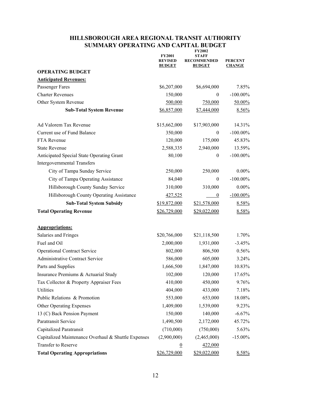# **HILLSBOROUGH AREA REGIONAL TRANSIT AUTHORITY SUMMARY OPERATING AND CAPITAL BUDGET**

|                                                                                 | <b>FY2002</b><br><b>FY2001</b><br><b>STAFF</b> |                                     |                                 |
|---------------------------------------------------------------------------------|------------------------------------------------|-------------------------------------|---------------------------------|
|                                                                                 | <b>REVISED</b><br><b>BUDGET</b>                | <b>RECOMMENDED</b><br><b>BUDGET</b> | <b>PERCENT</b><br><b>CHANGE</b> |
| <b>OPERATING BUDGET</b>                                                         |                                                |                                     |                                 |
| <b>Anticipated Revenues:</b>                                                    |                                                |                                     |                                 |
| Passenger Fares                                                                 | \$6,207,000                                    | \$6,694,000                         | 7.85%                           |
| <b>Charter Revenues</b>                                                         | 150,000                                        | $\mathbf{0}$                        | $-100.00\%$                     |
| Other System Revenue                                                            | 500,000                                        | 750,000                             | $50.00\%$                       |
| <b>Sub-Total System Revenue</b>                                                 | \$6,857,000                                    | \$7,444,000                         | 8.56%                           |
| Ad Valorem Tax Revenue                                                          | \$15,662,000                                   | \$17,903,000                        | 14.31%                          |
| Current use of Fund Balance                                                     | 350,000                                        | $\theta$                            | $-100.00\%$                     |
| FTA Revenue                                                                     | 120,000                                        | 175,000                             | 45.83%                          |
| <b>State Revenue</b>                                                            | 2,588,335                                      | 2,940,000                           | 13.59%                          |
| Anticipated Special State Operating Grant<br><b>Intergovernmental Transfers</b> | 80,100                                         | $\boldsymbol{0}$                    | $-100.00\%$                     |
| City of Tampa Sunday Service                                                    | 250,000                                        | 250,000                             | $0.00\%$                        |
| City of Tampa Operating Assistance                                              | 84,040                                         | $\boldsymbol{0}$                    | $-100.00\%$                     |
| Hillsborough County Sunday Service                                              | 310,000                                        | 310,000                             | $0.00\%$                        |
| Hillsborough County Operating Assistance                                        | 427,525                                        | $\boldsymbol{0}$                    | $-100.00\%$                     |
| <b>Sub-Total System Subsidy</b>                                                 | \$19,872,000                                   | \$21,578,000                        | 8.58%                           |
| <b>Total Operating Revenue</b>                                                  | \$26,729,000                                   | \$29,022,000                        | 8.58%                           |
| <b>Appropriations:</b>                                                          |                                                |                                     |                                 |
| Salaries and Fringes                                                            | \$20,766,000                                   | \$21,118,500                        | 1.70%                           |
| Fuel and Oil                                                                    | 2,000,000                                      | 1,931,000                           | $-3.45%$                        |
| <b>Operational Contract Service</b>                                             | 802,000                                        | 806,500                             | 0.56%                           |
| Administrative Contract Service                                                 | 586,000                                        | 605,000                             | 3.24%                           |
| Parts and Supplies                                                              | 1,666,500                                      | 1,847,000                           | 10.83%                          |
| Insurance Premiums & Actuarial Study                                            | 102,000                                        | 120,000                             | 17.65%                          |
| Tax Collector & Property Appraiser Fees                                         | 410,000                                        | 450,000                             | 9.76%                           |
| Utilities                                                                       | 404,000                                        | 433,000                             | 7.18%                           |
| Public Relations & Promotion                                                    | 553,000                                        | 653,000                             | 18.08%                          |
| Other Operating Expenses                                                        | 1,409,000                                      | 1,539,000                           | 9.23%                           |
| 13 (C) Back Pension Payment                                                     | 150,000                                        | 140,000                             | $-6.67\%$                       |
| Paratransit Service                                                             | 1,490,500                                      | 2,172,000                           | 45.72%                          |
| Capitalized Paratransit                                                         | (710,000)                                      | (750,000)                           | 5.63%                           |
| Capitalized Maintenance Overhaul & Shuttle Expenses                             | (2,900,000)                                    | (2,465,000)                         | $-15.00\%$                      |
| <b>Transfer to Reserve</b>                                                      | $\overline{0}$                                 | 422,000                             |                                 |
| <b>Total Operating Appropriations</b>                                           | \$26,729,000                                   | \$29,022,000                        | 8.58%                           |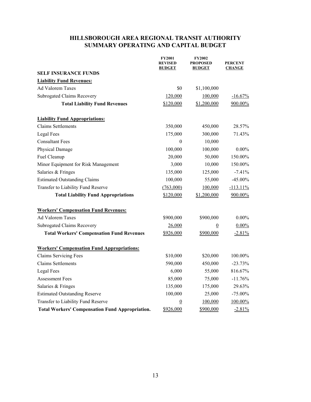# **HILLSBOROUGH AREA REGIONAL TRANSIT AUTHORITY SUMMARY OPERATING AND CAPITAL BUDGET**

|                                                        | <b>FY2001</b><br><b>REVISED</b><br><b>BUDGET</b> | <b>FY2002</b><br><b>PROPOSED</b><br><b>BUDGET</b> | <b>PERCENT</b><br><b>CHANGE</b> |
|--------------------------------------------------------|--------------------------------------------------|---------------------------------------------------|---------------------------------|
| <b>SELF INSURANCE FUNDS</b>                            |                                                  |                                                   |                                 |
| <b>Liability Fund Revenues:</b>                        |                                                  |                                                   |                                 |
| <b>Ad Valorem Taxes</b>                                | \$0                                              | \$1,100,000                                       |                                 |
| <b>Subrogated Claims Recovery</b>                      | 120,000                                          | 100,000                                           | $-16.67\%$                      |
| <b>Total Liability Fund Revenues</b>                   | \$120,000                                        | \$1,200,000                                       | 900.00%                         |
| <b>Liability Fund Appropriations:</b>                  |                                                  |                                                   |                                 |
| <b>Claims Settlements</b>                              | 350,000                                          | 450,000                                           | 28.57%                          |
| Legal Fees                                             | 175,000                                          | 300,000                                           | 71.43%                          |
| <b>Consultant Fees</b>                                 | $\mathbf{0}$                                     | 10,000                                            |                                 |
| Physical Damage                                        | 100,000                                          | 100,000                                           | $0.00\%$                        |
| Fuel Cleanup                                           | 20,000                                           | 50,000                                            | 150.00%                         |
| Minor Equipment for Risk Management                    | 3,000                                            | 10,000                                            | 150.00%                         |
| Salaries & Fringes                                     | 135,000                                          | 125,000                                           | $-7.41%$                        |
| <b>Estimated Outstanding Claims</b>                    | 100,000                                          | 55,000                                            | $-45.00\%$                      |
| Transfer to Liability Fund Reserve                     | (763,000)                                        | 100,000                                           | $-113.11%$                      |
| <b>Total Liability Fund Appropriations</b>             | \$120,000                                        | \$1,200,000                                       | 900.00%                         |
| <b>Workers' Compensation Fund Revenues:</b>            |                                                  |                                                   |                                 |
| <b>Ad Valorem Taxes</b>                                | \$900,000                                        | \$900,000                                         | $0.00\%$                        |
| <b>Subrogated Claims Recovery</b>                      | 26,000                                           | $\overline{0}$                                    | $0.00\%$                        |
| <b>Total Workers' Compensation Fund Revenues</b>       | \$926,000                                        | \$900,000                                         | $-2.81%$                        |
| <b>Workers' Compensation Fund Appropriations:</b>      |                                                  |                                                   |                                 |
| <b>Claims Servicing Fees</b>                           | \$10,000                                         | \$20,000                                          | 100.00%                         |
| <b>Claims Settlements</b>                              | 590,000                                          | 450,000                                           | $-23.73%$                       |
| Legal Fees                                             | 6,000                                            | 55,000                                            | 816.67%                         |
| <b>Assessment Fees</b>                                 | 85,000                                           | 75,000                                            | $-11.76%$                       |
| Salaries & Fringes                                     | 135,000                                          | 175,000                                           | 29.63%                          |
| <b>Estimated Outstanding Reserve</b>                   | 100,000                                          | 25,000                                            | $-75.00\%$                      |
| Transfer to Liability Fund Reserve                     | $\overline{0}$                                   | 100,000                                           | 100.00%                         |
| <b>Total Workers' Compensation Fund Appropriation.</b> | \$926,000                                        | \$900,000                                         | $-2.81%$                        |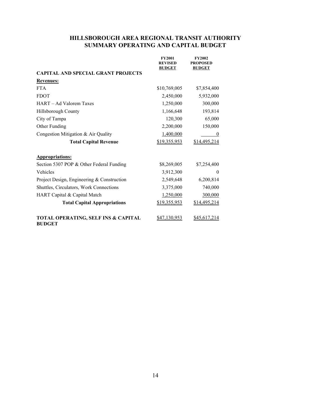# **HILLSBOROUGH AREA REGIONAL TRANSIT AUTHORITY SUMMARY OPERATING AND CAPITAL BUDGET**

|                                                                 | <b>FY2001</b><br><b>REVISED</b><br><b>BUDGET</b> | <b>FY2002</b><br><b>PROPOSED</b><br><b>BUDGET</b> |
|-----------------------------------------------------------------|--------------------------------------------------|---------------------------------------------------|
| <b>CAPITAL AND SPECIAL GRANT PROJECTS</b>                       |                                                  |                                                   |
| <b>Revenues:</b>                                                |                                                  |                                                   |
| <b>FTA</b>                                                      | \$10,769,005                                     | \$7,854,400                                       |
| <b>FDOT</b>                                                     | 2,450,000                                        | 5,932,000                                         |
| HART – Ad Valorem Taxes                                         | 1,250,000                                        | 300,000                                           |
| Hillsborough County                                             | 1,166,648                                        | 193,814                                           |
| City of Tampa                                                   | 120,300                                          | 65,000                                            |
| Other Funding                                                   | 2,200,000                                        | 150,000                                           |
| Congestion Mitigation & Air Quality                             | 1,400,000                                        | $\theta$                                          |
| <b>Total Capital Revenue</b>                                    | \$19,355,953                                     | \$14,495,214                                      |
| <b>Appropriations:</b>                                          |                                                  |                                                   |
| Section 5307 POP & Other Federal Funding                        | \$8,269,005                                      | \$7,254,400                                       |
| Vehicles                                                        | 3,912,300                                        | $\Omega$                                          |
| Project Design, Engineering & Construction                      | 2,549,648                                        | 6,200,814                                         |
| Shuttles, Circulators, Work Connections                         | 3,375,000                                        | 740,000                                           |
| HART Capital & Capital Match                                    | 1,250,000                                        | 300,000                                           |
| <b>Total Capital Appropriations</b>                             | \$19,355,953                                     | \$14,495,214                                      |
| <b>TOTAL OPERATING, SELF INS &amp; CAPITAL</b><br><b>BUDGET</b> | <u>\$47,130,953</u>                              | \$45,617,214                                      |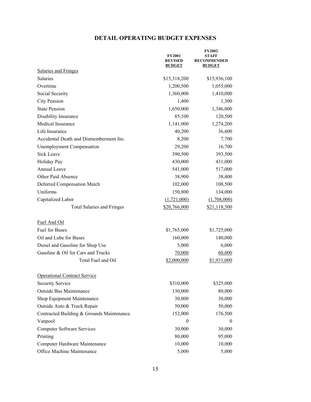# **DETAIL OPERATING BUDGET EXPENSES**

|                                            | <b>FY2001</b><br><b>REVISED</b><br><b>BUDGET</b> | FY2002<br><b>STAFF</b><br><b>RECOMMENDED</b><br><b>BUDGET</b> |
|--------------------------------------------|--------------------------------------------------|---------------------------------------------------------------|
| <b>Salaries and Fringes</b>                |                                                  |                                                               |
| Salaries                                   | \$15,318,200                                     | \$15,936,100                                                  |
| Overtime                                   | 1,200,500                                        | 1,055,000                                                     |
| Social Security                            | 1,360,000                                        | 1,410,000                                                     |
| <b>City Pension</b>                        | 1,400                                            | 1,300                                                         |
| <b>State Pension</b>                       | 1,650,000                                        | 1,346,000                                                     |
| Disability Insurance                       | 85,100                                           | 120,500                                                       |
| Medical Insurance                          | 1,141,000                                        | 1,274,200                                                     |
| Life Insurance                             | 40,200                                           | 36,600                                                        |
| Accidental Death and Dismemberment Ins.    | 8,200                                            | 7,700                                                         |
| <b>Unemployment Compensation</b>           | 29,200                                           | 16,700                                                        |
| Sick Leave                                 | 390,500                                          | 393,500                                                       |
| Holiday Pay                                | 430,000                                          | 431,000                                                       |
| Annual Leave                               | 541,000                                          | 517,000                                                       |
| Other Paid Absence                         | 38,900                                           | 38,400                                                        |
| Deferred Compensation Match                | 102,000                                          | 108,500                                                       |
| Uniforms                                   | 150,800                                          | 134,000                                                       |
| Capitalized Labor                          | (1,721,000)                                      | (1,708,000)                                                   |
| <b>Total Salaries and Fringes</b>          | \$20,766,000                                     | \$21,118,500                                                  |
| Fuel And Oil                               |                                                  |                                                               |
| Fuel for Buses                             | \$1,765,000                                      | \$1,725,000                                                   |
| Oil and Lube for Buses                     | 160,000                                          | 140,000                                                       |
| Diesel and Gasoline for Shop Use           | 5,000                                            | 6,000                                                         |
| Gasoline & Oil for Cars and Trucks         | 70,000                                           | 60,000                                                        |
| Total Fuel and Oil                         | \$2,000,000                                      | \$1,931,000                                                   |
| <b>Operational Contract Service</b>        |                                                  |                                                               |
| <b>Security Service</b>                    | \$310,000                                        | \$325,000                                                     |
| <b>Outside Bus Maintenance</b>             | 130,000                                          | 80,000                                                        |
| Shop Equipment Maintenance                 | 30,000                                           | 30,000                                                        |
| Outside Auto & Truck Repair                | 50,000                                           | 50,000                                                        |
| Contracted Building & Grounds Maintenance. | 152,000                                          | 176,500                                                       |
| Vanpool                                    | 0                                                | $\boldsymbol{0}$                                              |
| <b>Computer Software Services</b>          | 30,000                                           | 30,000                                                        |
| Printing                                   | 80,000                                           | 95,000                                                        |
| Computer Hardware Maintenance              | 10,000                                           | 10,000                                                        |
| Office Machine Maintenance                 | 5,000                                            | 5,000                                                         |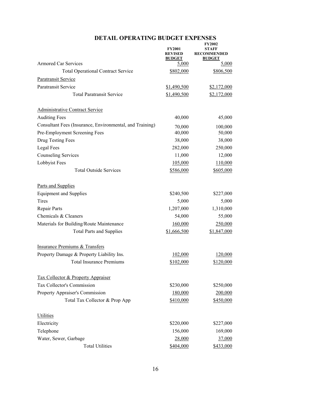|                                                          | <b>FY2001</b><br><b>REVISED</b><br><b>BUDGET</b> | <b>FY2002</b><br><b>RECOMMENDED</b><br><b>BUDGET</b> |
|----------------------------------------------------------|--------------------------------------------------|------------------------------------------------------|
| <b>Armored Car Services</b>                              | 5,000                                            | 5,000                                                |
| <b>Total Operational Contract Service</b>                | \$802,000                                        | \$806,500                                            |
| <b>Paratransit Service</b>                               |                                                  |                                                      |
| <b>Paratransit Service</b>                               | \$1,490,500                                      | \$2,172,000                                          |
| <b>Total Paratransit Service</b>                         | \$1,490,500                                      | \$2,172,000                                          |
| Administrative Contract Service                          |                                                  |                                                      |
| <b>Auditing Fees</b>                                     | 40,000                                           | 45,000                                               |
| Consultant Fees (Insurance, Environmental, and Training) | 70,000                                           | 100,000                                              |
| Pre-Employment Screening Fees                            | 40,000                                           | 50,000                                               |
| Drug Testing Fees                                        | 38,000                                           | 38,000                                               |
| Legal Fees                                               | 282,000                                          | 250,000                                              |
| <b>Counseling Services</b>                               | 11,000                                           | 12,000                                               |
| Lobbyist Fees                                            | 105,000                                          | 110,000                                              |
| <b>Total Outside Services</b>                            | \$586,000                                        | \$605,000                                            |
| Parts and Supplies                                       |                                                  |                                                      |
| <b>Equipment and Supplies</b>                            | \$240,500                                        | \$227,000                                            |
| Tires                                                    | 5,000                                            | 5,000                                                |
| Repair Parts                                             | 1,207,000                                        | 1,310,000                                            |
| Chemicals & Cleaners                                     | 54,000                                           | 55,000                                               |
| Materials for Building/Route Maintenance                 | 160,000                                          | 250,000                                              |
| <b>Total Parts and Supplies</b>                          | \$1,666,500                                      | \$1,847,000                                          |
| <b>Insurance Premiums &amp; Transfers</b>                |                                                  |                                                      |
| Property Damage & Property Liability Ins.                | 102,000                                          | 120,000                                              |
| <b>Total Insurance Premiums</b>                          | \$102,000                                        | \$120,000                                            |
| Tax Collector & Property Appraiser                       |                                                  |                                                      |
| Tax Collector's Commission                               | \$230,000                                        | \$250,000                                            |
| Property Appraiser's Commission                          | 180,000                                          | 200,000                                              |
| Total Tax Collector & Prop App                           | \$410,000                                        | \$450,000                                            |
| <b>Utilities</b>                                         |                                                  |                                                      |
| Electricity                                              | \$220,000                                        | \$227,000                                            |
| Telephone                                                | 156,000                                          | 169,000                                              |
| Water, Sewer, Garbage                                    | 28,000                                           | 37,000                                               |
| <b>Total Utilities</b>                                   | \$404,000                                        | \$433,000                                            |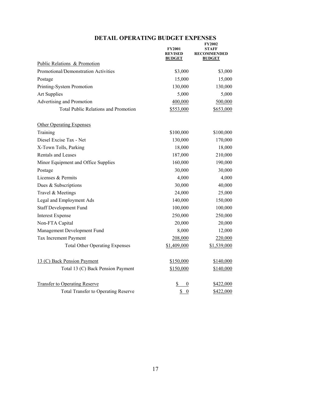|                                             | <b>FY2001</b><br><b>REVISED</b><br><b>BUDGET</b> | <b>STAFF</b><br><b>RECOMMENDED</b><br><b>BUDGET</b> |
|---------------------------------------------|--------------------------------------------------|-----------------------------------------------------|
| Public Relations & Promotion                |                                                  |                                                     |
| Promotional/Demonstration Activities        | \$3,000                                          | \$3,000                                             |
| Postage                                     | 15,000                                           | 15,000                                              |
| Printing-System Promotion                   | 130,000                                          | 130,000                                             |
| <b>Art Supplies</b>                         | 5,000                                            | 5,000                                               |
| Advertising and Promotion                   | 400,000                                          | 500,000                                             |
| <b>Total Public Relations and Promotion</b> | \$553,000                                        | \$653,000                                           |
| <b>Other Operating Expenses</b>             |                                                  |                                                     |
| Training                                    | \$100,000                                        | \$100,000                                           |
| Diesel Excise Tax - Net                     | 130,000                                          | 170,000                                             |
| X-Town Tolls, Parking                       | 18,000                                           | 18,000                                              |
| <b>Rentals and Leases</b>                   | 187,000                                          | 210,000                                             |
| Minor Equipment and Office Supplies         | 160,000                                          | 190,000                                             |
| Postage                                     | 30,000                                           | 30,000                                              |
| Licenses & Permits                          | 4,000                                            | 4,000                                               |
| Dues & Subscriptions                        | 30,000                                           | 40,000                                              |
| Travel & Meetings                           | 24,000                                           | 25,000                                              |
| Legal and Employment Ads                    | 140,000                                          | 150,000                                             |
| <b>Staff Development Fund</b>               | 100,000                                          | 100,000                                             |
| <b>Interest Expense</b>                     | 250,000                                          | 250,000                                             |
| Non-FTA Capital                             | 20,000                                           | 20,000                                              |
| Management Development Fund                 | 8,000                                            | 12,000                                              |
| Tax Increment Payment                       | 208,000                                          | 220,000                                             |
| <b>Total Other Operating Expenses</b>       | \$1,409,000                                      | \$1,539,000                                         |
| 13 (C) Back Pension Payment                 | \$150,000                                        | \$140,000                                           |
| Total 13 (C) Back Pension Payment           | \$150,000                                        | \$140,000                                           |
| <b>Transfer to Operating Reserve</b>        | \$<br>$\boldsymbol{0}$                           | \$422,000                                           |
| <b>Total Transfer to Operating Reserve</b>  | $\overline{\mathbf{S}}$<br>$\boldsymbol{0}$      | \$422,000                                           |

#### **DETAIL OPERATING BUDGET EXPENSES FY2002**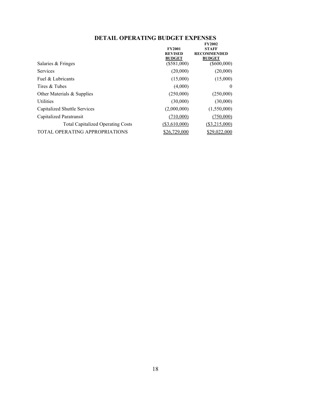#### **DETAIL OPERATING BUDGET EXPENSES FY2002**

|                                          | <b>FY2001</b><br><b>REVISED</b><br><b>BUDGET</b> | <b>STAFF</b><br><b>RECOMMENDED</b><br><b>BUDGET</b> |
|------------------------------------------|--------------------------------------------------|-----------------------------------------------------|
| Salaries & Fringes                       | $(\$581,000)$                                    | $(\$600,000)$                                       |
| Services                                 | (20,000)                                         | (20,000)                                            |
| Fuel & Lubricants                        | (15,000)                                         | (15,000)                                            |
| Tires & Tubes                            | (4,000)                                          | $\theta$                                            |
| Other Materials & Supplies               | (250,000)                                        | (250,000)                                           |
| <b>Utilities</b>                         | (30,000)                                         | (30,000)                                            |
| Capitalized Shuttle Services             | (2,000,000)                                      | (1,550,000)                                         |
| Capitalized Paratransit                  | (710,000)                                        | (750,000)                                           |
| <b>Total Capitalized Operating Costs</b> | (\$3,610,000)                                    | (\$3,215,000)                                       |
| TOTAL OPERATING APPROPRIATIONS           | \$26,729,000                                     | \$29,022,000                                        |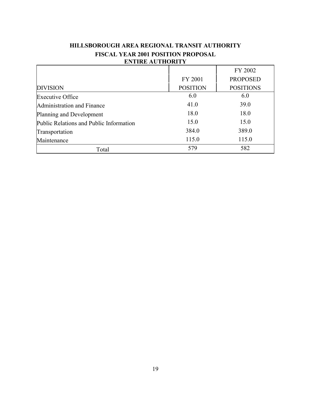| евние астноми п                         |                 |                  |
|-----------------------------------------|-----------------|------------------|
|                                         |                 | FY 2002          |
|                                         | FY 2001         | <b>PROPOSED</b>  |
| <b>DIVISION</b>                         | <b>POSITION</b> | <b>POSITIONS</b> |
| <b>Executive Office</b>                 | 6.0             | 6.0              |
| Administration and Finance              | 41.0            | 39.0             |
| Planning and Development                | 18.0            | 18.0             |
| Public Relations and Public Information | 15.0            | 15.0             |
| Transportation                          | 384.0           | 389.0            |
| Maintenance                             | 115.0           | 115.0            |
| Total                                   | 579             | 582              |
|                                         |                 |                  |

# **HILLSBOROUGH AREA REGIONAL TRANSIT AUTHORITY FISCAL YEAR 2001 POSITION PROPOSAL ENTIRE AUTHORITY**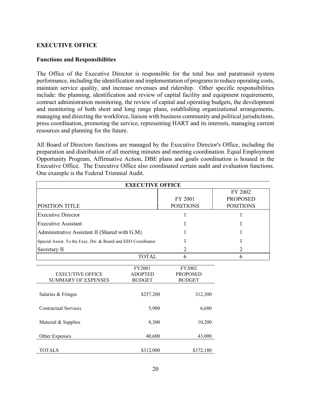### **EXECUTIVE OFFICE**

### **Functions and Responsibilities**

The Office of the Executive Director is responsible for the total bus and paratransit system performance, including the identification and implementation of programs to reduce operating costs, maintain service quality, and increase revenues and ridership. Other specific responsibilities include: the planning, identification and review of capital facility and equipment requirements, contract administration monitoring, the review of capital and operating budgets, the development and monitoring of both short and long range plans, establishing organizational arrangements, managing and directing the workforce, liaison with business community and political jurisdictions, press coordination, promoting the service, representing HART and its interests, managing current resources and planning for the future.

All Board of Directors functions are managed by the Executive Director's Office, including the preparation and distribution of all meeting minutes and meeting coordination. Equal Employment Opportunity Program, Affirmative Action, DBE plans and goals coordination is housed in the Executive Office. The Executive Office also coordinated certain audit and evaluation functions. One example is the Federal Triennial Audit.

| <b>EXECUTIVE OFFICE</b>                                       |                |                  |                  |
|---------------------------------------------------------------|----------------|------------------|------------------|
|                                                               |                |                  | FY 2002          |
|                                                               |                | FY 2001          | <b>PROPOSED</b>  |
| POSITION TITLE                                                |                | <b>POSITIONS</b> | <b>POSITIONS</b> |
| <b>Executive Director</b>                                     |                | 1                | 1                |
| <b>Executive Assistant</b>                                    |                |                  |                  |
| Administrative Assistant II (Shared with G.M)                 |                |                  |                  |
| Special Assist. To the Exec. Dir. & Board and EEO Coordinator |                |                  |                  |
| Secretary II                                                  |                | $\overline{2}$   | $\overline{2}$   |
|                                                               | <b>TOTAL</b>   | 6                | 6                |
|                                                               | FY2001         | FY2002           |                  |
| <b>EXECUTIVE OFFICE</b>                                       | <b>ADOPTED</b> | <b>PROPOSED</b>  |                  |
| <b>SUMMARY OF EXPENSES</b>                                    | <b>BUDGET</b>  | <b>BUDGET</b>    |                  |
|                                                               |                |                  |                  |
| Salaries & Fringes                                            | \$257,200      | 312,300          |                  |
| <b>Contractual Services</b>                                   | 5,900          | 6,680            |                  |
| Material & Supplies                                           | 8,300          | 10,200           |                  |
| Other Expenses                                                | 40,600         | 43,000           |                  |
| <b>TOTALS</b>                                                 | \$312,000      | \$372,180        |                  |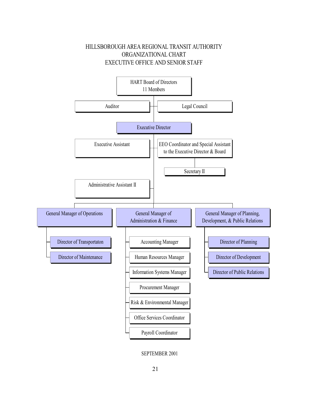



SEPTEMBER 2001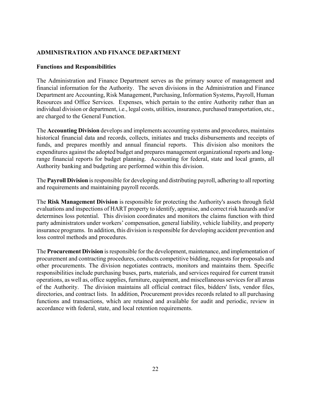### **ADMINISTRATION AND FINANCE DEPARTMENT**

### **Functions and Responsibilities**

The Administration and Finance Department serves as the primary source of management and financial information for the Authority. The seven divisions in the Administration and Finance Department are Accounting, Risk Management, Purchasing, Information Systems, Payroll, Human Resources and Office Services. Expenses, which pertain to the entire Authority rather than an individual division or department, i.e., legal costs, utilities, insurance, purchased transportation, etc., are charged to the General Function.

The **Accounting Division** develops and implements accounting systems and procedures, maintains historical financial data and records, collects, initiates and tracks disbursements and receipts of funds, and prepares monthly and annual financial reports. This division also monitors the expenditures against the adopted budget and prepares management organizational reports and longrange financial reports for budget planning. Accounting for federal, state and local grants, all Authority banking and budgeting are performed within this division.

The **Payroll Division** is responsible for developing and distributing payroll, adhering to all reporting and requirements and maintaining payroll records.

The **Risk Management Division** is responsible for protecting the Authority's assets through field evaluations and inspections of HART property to identify, appraise, and correct risk hazards and/or determines loss potential. This division coordinates and monitors the claims function with third party administrators under workers' compensation, general liability, vehicle liability, and property insurance programs. In addition, this division is responsible for developing accident prevention and loss control methods and procedures.

The **Procurement Division** is responsible for the development, maintenance, and implementation of procurement and contracting procedures, conducts competitive bidding, requests for proposals and other procurements. The division negotiates contracts, monitors and maintains them. Specific responsibilities include purchasing buses, parts, materials, and services required for current transit operations, as well as, office supplies, furniture, equipment, and miscellaneous services for all areas of the Authority. The division maintains all official contract files, bidders' lists, vendor files, directories, and contract lists. In addition, Procurement provides records related to all purchasing functions and transactions, which are retained and available for audit and periodic, review in accordance with federal, state, and local retention requirements.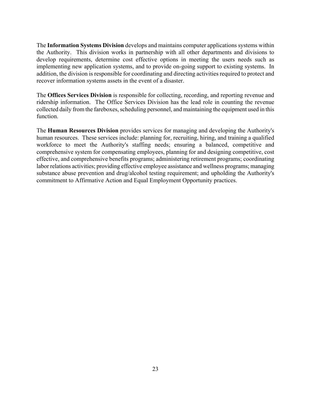The **Information Systems Division** develops and maintains computer applications systems within the Authority. This division works in partnership with all other departments and divisions to develop requirements, determine cost effective options in meeting the users needs such as implementing new application systems, and to provide on-going support to existing systems. In addition, the division is responsible for coordinating and directing activities required to protect and recover information systems assets in the event of a disaster.

The **Offices Services Division** is responsible for collecting, recording, and reporting revenue and ridership information. The Office Services Division has the lead role in counting the revenue collected daily from the fareboxes, scheduling personnel, and maintaining the equipment used in this function.

The **Human Resources Division** provides services for managing and developing the Authority's human resources. These services include: planning for, recruiting, hiring, and training a qualified workforce to meet the Authority's staffing needs; ensuring a balanced, competitive and comprehensive system for compensating employees, planning for and designing competitive, cost effective, and comprehensive benefits programs; administering retirement programs; coordinating labor relations activities; providing effective employee assistance and wellness programs; managing substance abuse prevention and drug/alcohol testing requirement; and upholding the Authority's commitment to Affirmative Action and Equal Employment Opportunity practices.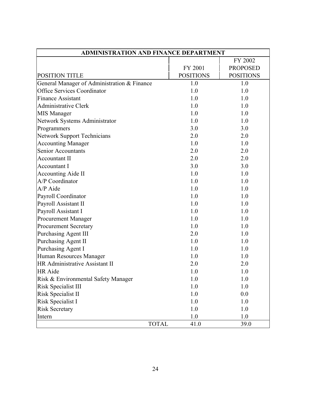| <b>ADMINISTRATION AND FINANCE DEPARTMENT</b> |                  |                  |
|----------------------------------------------|------------------|------------------|
|                                              |                  | FY 2002          |
|                                              | FY 2001          | <b>PROPOSED</b>  |
| <b>POSITION TITLE</b>                        | <b>POSITIONS</b> | <b>POSITIONS</b> |
| General Manager of Administration & Finance  | 1.0              | 1.0              |
| <b>Office Services Coordinator</b>           | 1.0              | 1.0              |
| <b>Finance Assistant</b>                     | 1.0              | 1.0              |
| <b>Administrative Clerk</b>                  | 1.0              | 1.0              |
| <b>MIS Manager</b>                           | 1.0              | 1.0              |
| Network Systems Administrator                | 1.0              | 1.0              |
| Programmers                                  | 3.0              | 3.0              |
| <b>Network Support Technicians</b>           | 2.0              | 2.0              |
| <b>Accounting Manager</b>                    | 1.0              | 1.0              |
| Senior Accountants                           | 2.0              | 2.0              |
| <b>Accountant II</b>                         | 2.0              | 2.0              |
| Accountant I                                 | 3.0              | 3.0              |
| <b>Accounting Aide II</b>                    | 1.0              | 1.0              |
| A/P Coordinator                              | 1.0              | 1.0              |
| A/P Aide                                     | 1.0              | 1.0              |
| Payroll Coordinator                          | 1.0              | 1.0              |
| Payroll Assistant II                         | 1.0              | 1.0              |
| Payroll Assistant I                          | 1.0              | 1.0              |
| <b>Procurement Manager</b>                   | 1.0              | 1.0              |
| <b>Procurement Secretary</b>                 | 1.0              | 1.0              |
| <b>Purchasing Agent III</b>                  | 2.0              | 1.0              |
| Purchasing Agent II                          | 1.0              | 1.0              |
| Purchasing Agent I                           | 1.0              | 1.0              |
| Human Resources Manager                      | 1.0              | 1.0              |
| HR Administrative Assistant II               | 2.0              | 2.0              |
| HR Aide                                      | 1.0              | 1.0              |
| Risk & Environmental Safety Manager          | 1.0              | 1.0              |
| <b>Risk Specialist III</b>                   | 1.0              | 1.0              |
| Risk Specialist II                           | 1.0              | 0.0              |
| Risk Specialist I                            | 1.0              | 1.0              |
| <b>Risk Secretary</b>                        | 1.0              | 1.0              |
| Intern                                       | 1.0              | 1.0              |
| <b>TOTAL</b>                                 | 41.0             | 39.0             |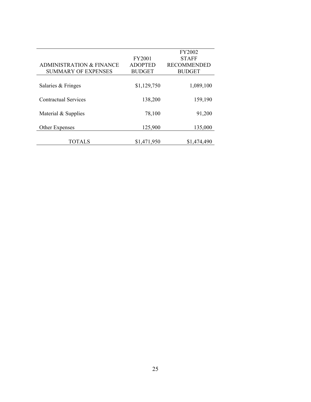|                | <b>FY2002</b>                    |
|----------------|----------------------------------|
| <b>FY2001</b>  | <b>STAFF</b>                     |
| <b>ADOPTED</b> | <b>RECOMMENDED</b>               |
| <b>BUDGET</b>  | <b>BUDGET</b>                    |
|                |                                  |
| \$1,129,750    | 1,089,100                        |
|                |                                  |
| 138,200        | 159,190                          |
|                |                                  |
|                | 91,200                           |
|                | 135,000                          |
|                |                                  |
|                | \$1,474,490                      |
|                | 78,100<br>125,900<br>\$1,471,950 |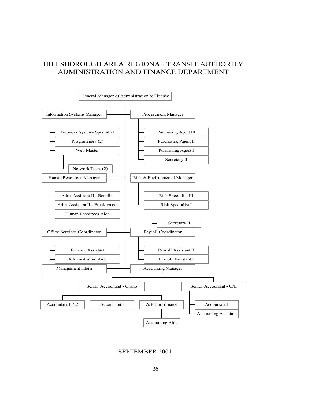# HILLSBOROUGH AREA REGIONAL TRANSIT AUTHORITY ADMINISTRATION AND FINANCE DEPARTMENT



SEPTEMBER 2001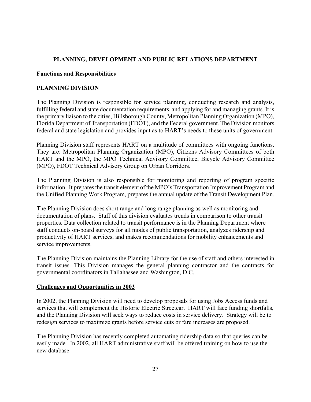# **PLANNING, DEVELOPMENT AND PUBLIC RELATIONS DEPARTMENT**

### **Functions and Responsibilities**

# **PLANNING DIVISION**

The Planning Division is responsible for service planning, conducting research and analysis, fulfilling federal and state documentation requirements, and applying for and managing grants. It is the primary liaison to the cities, Hillsborough County, Metropolitan Planning Organization (MPO), Florida Department of Transportation (FDOT), and the Federal government. The Division monitors federal and state legislation and provides input as to HART's needs to these units of government.

Planning Division staff represents HART on a multitude of committees with ongoing functions. They are: Metropolitan Planning Organization (MPO), Citizens Advisory Committees of both HART and the MPO, the MPO Technical Advisory Committee, Bicycle Advisory Committee (MPO), FDOT Technical Advisory Group on Urban Corridors.

The Planning Division is also responsible for monitoring and reporting of program specific information. It prepares the transit element of the MPO's Transportation Improvement Program and the Unified Planning Work Program, prepares the annual update of the Transit Development Plan.

The Planning Division does short range and long range planning as well as monitoring and documentation of plans. Staff of this division evaluates trends in comparison to other transit properties. Data collection related to transit performance is in the Planning Department where staff conducts on-board surveys for all modes of public transportation, analyzes ridership and productivity of HART services, and makes recommendations for mobility enhancements and service improvements.

The Planning Division maintains the Planning Library for the use of staff and others interested in transit issues. This Division manages the general planning contractor and the contracts for governmental coordinators in Tallahassee and Washington, D.C.

# **Challenges and Opportunities in 2002**

In 2002, the Planning Division will need to develop proposals for using Jobs Access funds and services that will complement the Historic Electric Streetcar. HART will face funding shortfalls, and the Planning Division will seek ways to reduce costs in service delivery. Strategy will be to redesign services to maximize grants before service cuts or fare increases are proposed.

The Planning Division has recently completed automating ridership data so that queries can be easily made. In 2002, all HART administrative staff will be offered training on how to use the new database.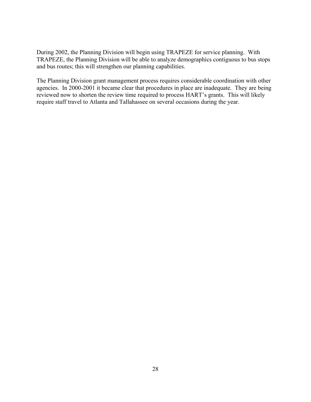During 2002, the Planning Division will begin using TRAPEZE for service planning. With TRAPEZE, the Planning Division will be able to analyze demographics contiguous to bus stops and bus routes; this will strengthen our planning capabilities.

The Planning Division grant management process requires considerable coordination with other agencies. In 2000-2001 it became clear that procedures in place are inadequate. They are being reviewed now to shorten the review time required to process HART's grants. This will likely require staff travel to Atlanta and Tallahassee on several occasions during the year.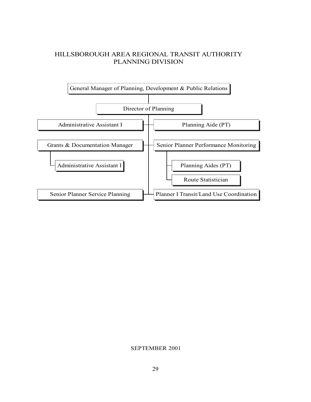# HILLSBOROUGH AREA REGIONAL TRANSIT AUTHORITY PLANNING DIVISION



#### SEPTEMBER 2001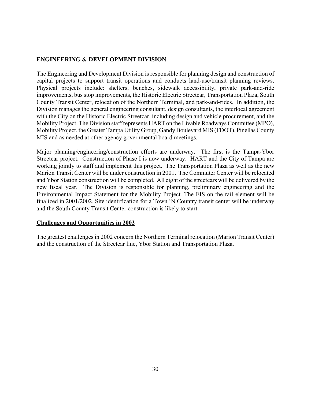# **ENGINEERING & DEVELOPMENT DIVISION**

The Engineering and Development Division is responsible for planning design and construction of capital projects to support transit operations and conducts land-use/transit planning reviews. Physical projects include: shelters, benches, sidewalk accessibility, private park-and-ride improvements, bus stop improvements, the Historic Electric Streetcar, Transportation Plaza, South County Transit Center, relocation of the Northern Terminal, and park-and-rides. In addition, the Division manages the general engineering consultant, design consultants, the interlocal agreement with the City on the Historic Electric Streetcar, including design and vehicle procurement, and the Mobility Project. The Division staff represents HART on the Livable Roadways Committee (MPO), Mobility Project, the Greater Tampa Utility Group, Gandy Boulevard MIS (FDOT), Pinellas County MIS and as needed at other agency governmental board meetings.

Major planning/engineering/construction efforts are underway. The first is the Tampa-Ybor Streetcar project. Construction of Phase I is now underway. HART and the City of Tampa are working jointly to staff and implement this project. The Transportation Plaza as well as the new Marion Transit Center will be under construction in 2001. The Commuter Center will be relocated and Ybor Station construction will be completed. All eight of the streetcars will be delivered by the new fiscal year. The Division is responsible for planning, preliminary engineering and the Environmental Impact Statement for the Mobility Project. The EIS on the rail element will be finalized in 2001/2002. Site identification for a Town 'N Country transit center will be underway and the South County Transit Center construction is likely to start.

### **Challenges and Opportunities in 2002**

The greatest challenges in 2002 concern the Northern Terminal relocation (Marion Transit Center) and the construction of the Streetcar line, Ybor Station and Transportation Plaza.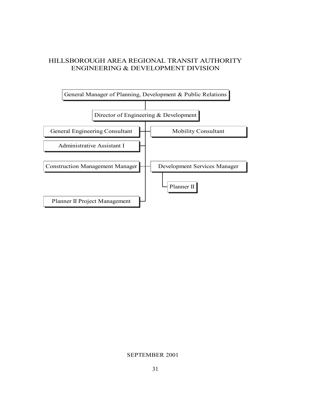# HILLSBOROUGH AREA REGIONAL TRANSIT AUTHORITY ENGINEERING & DEVELOPMENT DIVISION



### SEPTEMBER 2001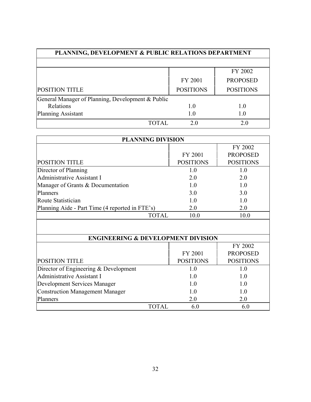| <b>PLANNING, DEVELOPMENT &amp; PUBLIC RELATIONS DEPARTMENT</b> |                  |                  |
|----------------------------------------------------------------|------------------|------------------|
|                                                                |                  |                  |
|                                                                |                  | FY 2002          |
|                                                                | FY 2001          | <b>PROPOSED</b>  |
| <b>POSITION TITLE</b>                                          | <b>POSITIONS</b> | <b>POSITIONS</b> |
| General Manager of Planning, Development & Public              |                  |                  |
| Relations                                                      | 1.0              | 1.0              |
| Planning Assistant                                             | 1.0              | 1.0              |
| TOTAL.                                                         | 2.0              | 2.0              |

| <b>PLANNING DIVISION</b>                        |                  |                  |
|-------------------------------------------------|------------------|------------------|
|                                                 |                  | FY 2002          |
|                                                 | FY 2001          | <b>PROPOSED</b>  |
| POSITION TITLE                                  | <b>POSITIONS</b> | <b>POSITIONS</b> |
| Director of Planning                            | 1.0              | 1.0              |
| <b>Administrative Assistant I</b>               | 2.0              | 2.0              |
| Manager of Grants & Documentation               | 1.0              | 1.0              |
| Planners                                        | 3.0              | 3.0              |
| Route Statistician                              | 1.0              | 1.0              |
| Planning Aide - Part Time (4 reported in FTE's) | 2.0              | 2.0              |
| <b>TOTAL</b>                                    | 10.0             | 10.0             |
|                                                 |                  |                  |
| <b>ENGINEERING &amp; DEVELOPMENT DIVISION</b>   |                  |                  |
|                                                 |                  | FY 2002          |
|                                                 | FY 2001          | <b>PROPOSED</b>  |
| POSITION TITLE                                  | <b>POSITIONS</b> | <b>POSITIONS</b> |
| Director of Engineering $&$ Development         | 1.0              | 1.0              |
| <b>Administrative Assistant I</b>               | 1.0              | 1.0              |
| <b>Development Services Manager</b>             | 1.0              | 1.0              |
| <b>Construction Management Manager</b>          | 1.0              | 10               |
| Planners                                        | 2.0              | 2.0              |
| <b>TOTAL</b>                                    | 6.0              | 6.0              |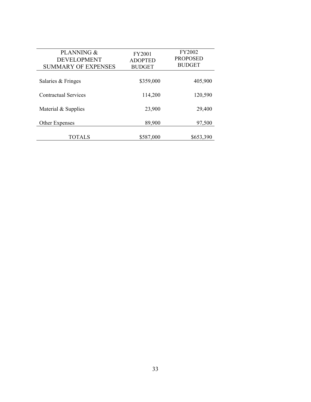| PLANNING &<br><b>DEVELOPMENT</b><br><b>SUMMARY OF EXPENSES</b> | FY2001<br><b>ADOPTED</b><br><b>BUDGET</b> | <b>FY2002</b><br><b>PROPOSED</b><br><b>BUDGET</b> |
|----------------------------------------------------------------|-------------------------------------------|---------------------------------------------------|
| Salaries & Fringes                                             | \$359,000                                 | 405,900                                           |
| <b>Contractual Services</b>                                    | 114,200                                   | 120,590                                           |
| Material & Supplies                                            | 23,900                                    | 29,400                                            |
| Other Expenses                                                 | 89,900                                    | 97,500                                            |
| TOTALS                                                         | \$587,000                                 | \$653,390                                         |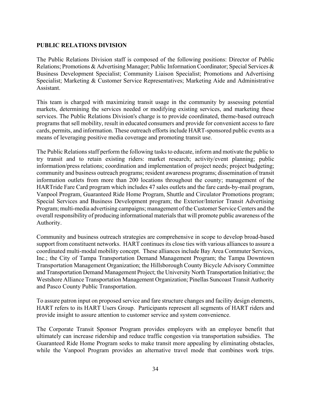### **PUBLIC RELATIONS DIVISION**

The Public Relations Division staff is composed of the following positions: Director of Public Relations; Promotions & Advertising Manager; Public Information Coordinator; Special Services & Business Development Specialist; Community Liaison Specialist; Promotions and Advertising Specialist; Marketing & Customer Service Representatives; Marketing Aide and Administrative Assistant.

This team is charged with maximizing transit usage in the community by assessing potential markets, determining the services needed or modifying existing services, and marketing these services. The Public Relations Division's charge is to provide coordinated, theme-based outreach programs that sell mobility, result in educated consumers and provide for convenient access to fare cards, permits, and information. These outreach efforts include HART-sponsored public events as a means of leveraging positive media coverage and promoting transit use.

The Public Relations staff perform the following tasks to educate, inform and motivate the public to try transit and to retain existing riders: market research; activity/event planning; public information/press relations; coordination and implementation of project needs; project budgeting; community and business outreach programs; resident awareness programs; dissemination of transit information outlets from more than 200 locations throughout the county; management of the HARTride Fare Card program which includes 47 sales outlets and the fare cards-by-mail program, Vanpool Program, Guaranteed Ride Home Program, Shuttle and Circulator Promotions program; Special Services and Business Development program; the Exterior/Interior Transit Advertising Program; multi-media advertising campaigns; management of the Customer Service Centers and the overall responsibility of producing informational materials that will promote public awareness of the Authority.

Community and business outreach strategies are comprehensive in scope to develop broad-based support from constituent networks. HART continues its close ties with various alliances to assure a coordinated multi-modal mobility concept. These alliances include Bay Area Commuter Services, Inc.; the City of Tampa Transportation Demand Management Program; the Tampa Downtown Transportation Management Organization; the Hillsborough County Bicycle Advisory Committee and Transportation Demand Management Project; the University North Transportation Initiative; the Westshore Alliance Transportation Management Organization; Pinellas Suncoast Transit Authority and Pasco County Public Transportation.

To assure patron input on proposed service and fare structure changes and facility design elements, HART refers to its HART Users Group. Participants represent all segments of HART riders and provide insight to assure attention to customer service and system convenience.

The Corporate Transit Sponsor Program provides employers with an employee benefit that ultimately can increase ridership and reduce traffic congestion via transportation subsidies. The Guaranteed Ride Home Program seeks to make transit more appealing by eliminating obstacles, while the Vanpool Program provides an alternative travel mode that combines work trips.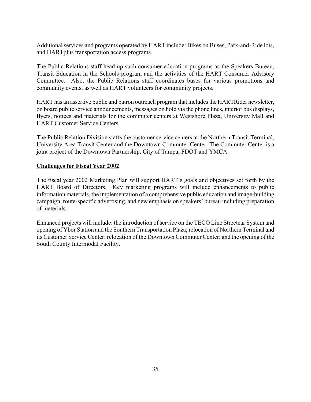Additional services and programs operated by HART include: Bikes on Buses, Park-and-Ride lots, and HARTplus transportation access programs.

The Public Relations staff head up such consumer education programs as the Speakers Bureau, Transit Education in the Schools program and the activities of the HART Consumer Advisory Committee. Also, the Public Relations staff coordinates buses for various promotions and community events, as well as HART volunteers for community projects.

HART has an assertive public and patron outreach program that includes the HARTRider newsletter, on board public service announcements, messages on hold via the phone lines, interior bus displays, flyers, notices and materials for the commuter centers at Westshore Plaza, University Mall and HART Customer Service Centers.

The Public Relation Division staffs the customer service centers at the Northern Transit Terminal, University Area Transit Center and the Downtown Commuter Center. The Commuter Center is a joint project of the Downtown Partnership, City of Tampa, FDOT and YMCA.

# **Challenges for Fiscal Year 2002**

The fiscal year 2002 Marketing Plan will support HART's goals and objectives set forth by the HART Board of Directors. Key marketing programs will include enhancements to public information materials, the implementation of a comprehensive public education and image-building campaign, route-specific advertising, and new emphasis on speakers' bureau including preparation of materials.

Enhanced projects will include: the introduction of service on the TECO Line Streetcar System and opening of Ybor Station and the Southern Transportation Plaza; relocation of Northern Terminal and its Customer Service Center; relocation of the Downtown Commuter Center; and the opening of the South County Intermodal Facility.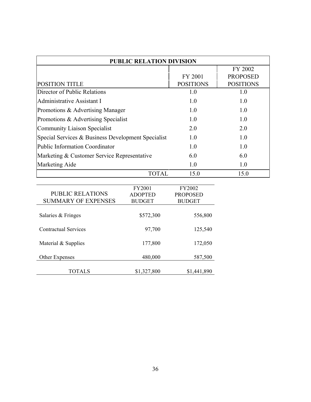| <b>PUBLIC RELATION DIVISION</b>                    |                  |                  |
|----------------------------------------------------|------------------|------------------|
|                                                    |                  | FY 2002          |
|                                                    | <b>FY 2001</b>   | <b>PROPOSED</b>  |
| <b>POSITION TITLE</b>                              | <b>POSITIONS</b> | <b>POSITIONS</b> |
| Director of Public Relations                       | 1.0              | 1.0              |
| Administrative Assistant I                         | 1.0              | 1.0              |
| Promotions & Advertising Manager                   | 1.0              | 1.0              |
| Promotions & Advertising Specialist                | 1.0              | 1.0              |
| Community Liaison Specialist                       | 2.0              | 2.0              |
| Special Services & Business Development Specialist | 10               | 1.0              |
| <b>Public Information Coordinator</b>              | 1.0              | 1.0              |
| Marketing & Customer Service Representative        | 6.0              | 6.0              |
| <b>Marketing Aide</b>                              | 1.0              | 1.0              |
| TOTAL                                              | 15.0             | 15.0             |

| <b>PUBLIC RELATIONS</b><br><b>SUMMARY OF EXPENSES</b> | FY2001<br><b>ADOPTED</b><br><b>BUDGET</b> | FY2002<br><b>PROPOSED</b><br><b>BUDGET</b> |
|-------------------------------------------------------|-------------------------------------------|--------------------------------------------|
| Salaries & Fringes                                    | \$572,300                                 | 556,800                                    |
| <b>Contractual Services</b>                           | 97,700                                    | 125,540                                    |
| Material & Supplies                                   | 177,800                                   | 172,050                                    |
| Other Expenses                                        | 480,000                                   | 587,500                                    |
| TOTALS                                                | \$1,327,800                               | \$1,441,890                                |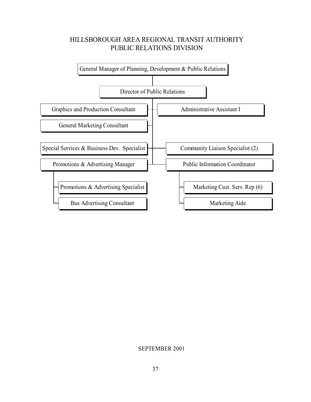# HILLSBOROUGH AREA REGIONAL TRANSIT AUTHORITY PUBLIC RELATIONS DIVISION



### SEPTEMBER 2001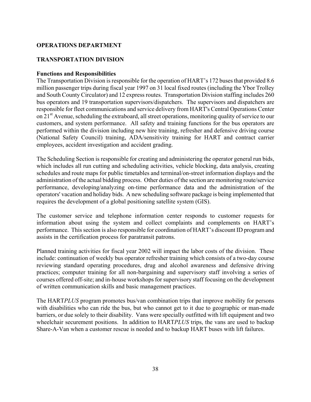### **OPERATIONS DEPARTMENT**

# **TRANSPORTATION DIVISION**

### **Functions and Responsibilities**

The Transportation Division is responsible for the operation of HART's 172 buses that provided 8.6 million passenger trips during fiscal year 1997 on 31 local fixed routes (including the Ybor Trolley and South County Circulator) and 12 express routes. Transportation Division staffing includes 260 bus operators and 19 transportation supervisors/dispatchers. The supervisors and dispatchers are responsible for fleet communications and service delivery from HART's Central Operations Center on 21st Avenue, scheduling the extraboard, all street operations, monitoring quality of service to our customers, and system performance. All safety and training functions for the bus operators are performed within the division including new hire training, refresher and defensive driving course (National Safety Council) training, ADA/sensitivity training for HART and contract carrier employees, accident investigation and accident grading.

The Scheduling Section is responsible for creating and administering the operator general run bids, which includes all run cutting and scheduling activities, vehicle blocking, data analysis, creating schedules and route maps for public timetables and terminal/on-street information displays and the administration of the actual bidding process. Other duties of the section are monitoring route/service performance, developing/analyzing on-time performance data and the administration of the operators' vacation and holiday bids. A new scheduling software package is being implemented that requires the development of a global positioning satellite system (GIS).

The customer service and telephone information center responds to customer requests for information about using the system and collect complaints and complements on HART's performance. This section is also responsible for coordination of HART's discount ID program and assists in the certification process for paratransit patrons.

Planned training activities for fiscal year 2002 will impact the labor costs of the division. These include: continuation of weekly bus operator refresher training which consists of a two-day course reviewing standard operating procedures, drug and alcohol awareness and defensive driving practices; computer training for all non-bargaining and supervisory staff involving a series of courses offered off-site; and in-house workshops for supervisory staff focusing on the development of written communication skills and basic management practices.

The HART*PLUS* program promotes bus/van combination trips that improve mobility for persons with disabilities who can ride the bus, but who cannot get to it due to geographic or man-made barriers, or due solely to their disability. Vans were specially outfitted with lift equipment and two wheelchair securement positions. In addition to HART*PLUS* trips, the vans are used to backup Share-A-Van when a customer rescue is needed and to backup HART buses with lift failures.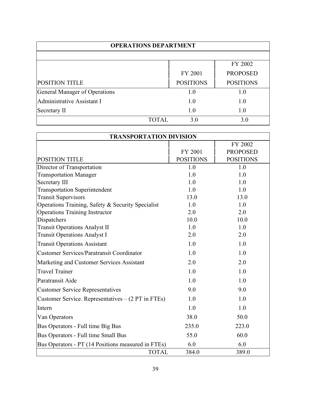| <b>OPERATIONS DEPARTMENT</b>  |                  |                  |
|-------------------------------|------------------|------------------|
|                               |                  |                  |
|                               |                  | FY 2002          |
|                               | FY 2001          | <b>PROPOSED</b>  |
| <b>POSITION TITLE</b>         | <b>POSITIONS</b> | <b>POSITIONS</b> |
| General Manager of Operations | 1.0              | 1.0              |
| Administrative Assistant I    | 1.0              | 1.0              |
| Secretary II                  | 1.0              | 1.0              |
| TOTAL.                        | 3.0              | 3.0              |

| <b>TRANSPORTATION DIVISION</b>                     |                  |                  |
|----------------------------------------------------|------------------|------------------|
|                                                    |                  | FY 2002          |
|                                                    | FY 2001          | <b>PROPOSED</b>  |
| <b>POSITION TITLE</b>                              | <b>POSITIONS</b> | <b>POSITIONS</b> |
| Director of Transportation                         | 1.0              | 1.0              |
| <b>Transportation Manager</b>                      | 1.0              | 1.0              |
| Secretary III                                      | 1.0              | 1.0              |
| <b>Transportation Superintendent</b>               | 1.0              | 1.0              |
| <b>Transit Supervisors</b>                         | 13.0             | 13.0             |
| Operations Training, Safety & Security Specialist  | 1.0              | 1.0              |
| <b>Operations Training Instructor</b>              | 2.0              | 2.0              |
| Dispatchers                                        | 10.0             | 10.0             |
| <b>Transit Operations Analyst II</b>               | 1.0              | 1.0              |
| <b>Transit Operations Analyst I</b>                | 2.0              | 2.0              |
| <b>Transit Operations Assistant</b>                | 1.0              | 1.0              |
| <b>Customer Services/Paratransit Coordinator</b>   | 1.0              | 1.0              |
| Marketing and Customer Services Assistant          | 2.0              | 2.0              |
| <b>Travel Trainer</b>                              | 1.0              | 1.0              |
| Paratransit Aide                                   | 1.0              | 1.0              |
| <b>Customer Service Representatives</b>            | 9.0              | 9.0              |
| Customer Service. Representatives – (2 PT in FTEs) | 1.0              | 1.0              |
| Intern                                             | 1.0              | 1.0              |
| Van Operators                                      | 38.0             | 50.0             |
| Bus Operators - Full time Big Bus                  | 235.0            | 223.0            |
| Bus Operators - Full time Small Bus                | 55.0             | 60.0             |
| Bus Operators - PT (14 Positions measured in FTEs) | 6.0              | 6.0              |
| <b>TOTAL</b>                                       | 384.0            | 389.0            |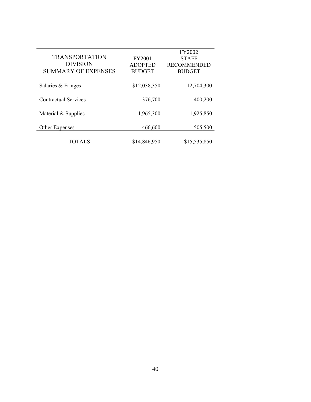|                             |                | FY2002             |
|-----------------------------|----------------|--------------------|
| <b>TRANSPORTATION</b>       | <b>FY2001</b>  | <b>STAFF</b>       |
| <b>DIVISION</b>             | <b>ADOPTED</b> | <b>RECOMMENDED</b> |
| <b>SUMMARY OF EXPENSES</b>  | <b>BUDGET</b>  | <b>BUDGET</b>      |
|                             |                |                    |
| Salaries & Fringes          | \$12,038,350   | 12,704,300         |
|                             |                |                    |
| <b>Contractual Services</b> | 376,700        | 400,200            |
|                             |                |                    |
| Material & Supplies         | 1,965,300      | 1,925,850          |
|                             |                |                    |
| Other Expenses              | 466,600        | 505,500            |
|                             |                |                    |
| TOTALS                      | \$14,846,950   | \$15,535,850       |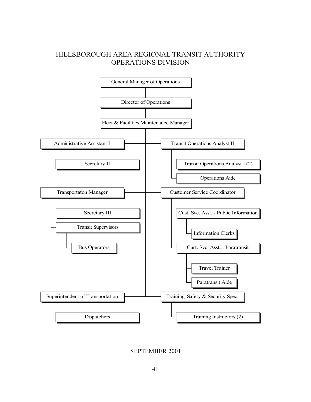# HILLSBOROUGH AREA REGIONAL TRANSIT AUTHORITY OPERATIONS DIVISION



SEPTEMBER 2001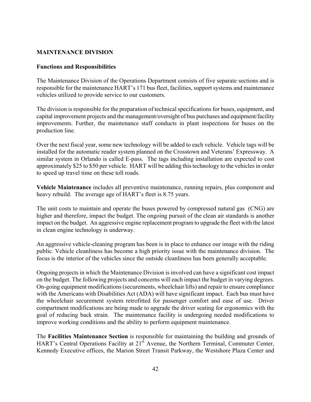### **MAINTENANCE DIVISION**

### **Functions and Responsibilities**

The Maintenance Division of the Operations Department consists of five separate sections and is responsible for the maintenance HART's 171 bus fleet, facilities, support systems and maintenance vehicles utilized to provide service to our customers.

The division is responsible for the preparation of technical specifications for buses, equipment, and capital improvement projects and the management/oversight of bus purchases and equipment/facility improvements. Further, the maintenance staff conducts in plant inspections for buses on the production line.

Over the next fiscal year, some new technology will be added to each vehicle. Vehicle tags will be installed for the automatic reader system planned on the Crosstown and Veterans' Expressway. A similar system in Orlando is called E-pass. The tags including installation are expected to cost approximately \$25 to \$50 per vehicle. HART will be adding this technology to the vehicles in order to speed up travel time on these toll roads.

**Vehicle Maintenance** includes all preventive maintenance, running repairs, plus component and heavy rebuild. The average age of HART's fleet is 8.75 years.

The unit costs to maintain and operate the buses powered by compressed natural gas (CNG) are higher and therefore, impact the budget. The ongoing pursuit of the clean air standards is another impact on the budget. An aggressive engine replacement program to upgrade the fleet with the latest in clean engine technology is underway.

An aggressive vehicle-cleaning program has been is in place to enhance our image with the riding public. Vehicle cleanliness has become a high priority issue with the maintenance division. The focus is the interior of the vehicles since the outside cleanliness has been generally acceptable.

Ongoing projects in which the Maintenance Division is involved can have a significant cost impact on the budget. The following projects and concerns will each impact the budget in varying degrees. On-going equipment modifications (securements, wheelchair lifts) and repair to ensure compliance with the Americans with Disabilities Act (ADA) will have significant impact. Each bus must have the wheelchair securement system retrofitted for passenger comfort and ease of use. Driver compartment modifications are being made to upgrade the driver seating for ergonomics with the goal of reducing back strain. The maintenance facility is undergoing needed modifications to improve working conditions and the ability to perform equipment maintenance.

The **Facilities Maintenance Section** is responsible for maintaining the building and grounds of HART's Central Operations Facility at 21<sup>st</sup> Avenue, the Northern Terminal, Commuter Center, Kennedy Executive offices, the Marion Street Transit Parkway, the Westshore Plaza Center and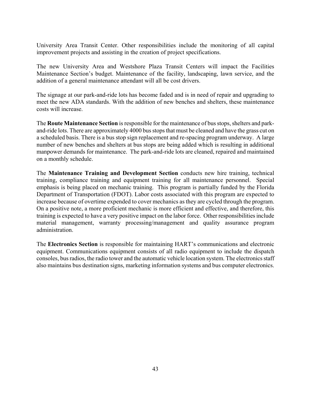University Area Transit Center. Other responsibilities include the monitoring of all capital improvement projects and assisting in the creation of project specifications.

The new University Area and Westshore Plaza Transit Centers will impact the Facilities Maintenance Section's budget. Maintenance of the facility, landscaping, lawn service, and the addition of a general maintenance attendant will all be cost drivers.

The signage at our park-and-ride lots has become faded and is in need of repair and upgrading to meet the new ADA standards. With the addition of new benches and shelters, these maintenance costs will increase.

The **Route Maintenance Section** is responsible for the maintenance of bus stops, shelters and parkand-ride lots. There are approximately 4000 bus stops that must be cleaned and have the grass cut on a scheduled basis. There is a bus stop sign replacement and re-spacing program underway. A large number of new benches and shelters at bus stops are being added which is resulting in additional manpower demands for maintenance. The park-and-ride lots are cleaned, repaired and maintained on a monthly schedule.

The **Maintenance Training and Development Section** conducts new hire training, technical training, compliance training and equipment training for all maintenance personnel. Special emphasis is being placed on mechanic training. This program is partially funded by the Florida Department of Transportation (FDOT). Labor costs associated with this program are expected to increase because of overtime expended to cover mechanics as they are cycled through the program. On a positive note, a more proficient mechanic is more efficient and effective, and therefore, this training is expected to have a very positive impact on the labor force. Other responsibilities include material management, warranty processing/management and quality assurance program administration.

The **Electronics Section** is responsible for maintaining HART's communications and electronic equipment. Communications equipment consists of all radio equipment to include the dispatch consoles, bus radios, the radio tower and the automatic vehicle location system. The electronics staff also maintains bus destination signs, marketing information systems and bus computer electronics.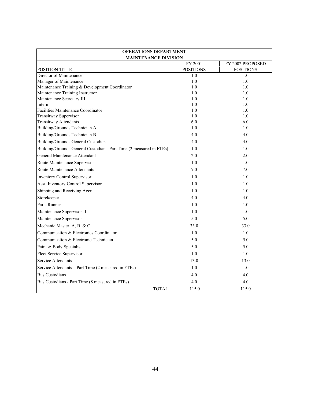| <b>OPERATIONS DEPARTMENT</b>                                        |                  |                  |
|---------------------------------------------------------------------|------------------|------------------|
| <b>MAINTENANCE DIVISION</b>                                         |                  |                  |
|                                                                     | FY 2001          | FY 2002 PROPOSED |
| <b>POSITION TITLE</b>                                               | <b>POSITIONS</b> | <b>POSITIONS</b> |
| Director of Maintenance                                             | 1.0              | 1.0              |
| Manager of Maintenance                                              | 1.0              | 1.0              |
| Maintenance Training & Development Coordinator                      | 1.0              | 1.0              |
| Maintenance Training Instructor                                     | 1.0              | 1.0              |
| Maintenance Secretary III<br>Intern                                 | 1.0              | 1.0<br>1.0       |
| Facilities Maintenance Coordinator                                  | 1.0<br>1.0       | 1.0              |
| <b>Transitway Supervisor</b>                                        | 1.0              | 1.0              |
| <b>Transitway Attendants</b>                                        | 6.0              | 6.0              |
| Building/Grounds Technician A                                       | 1.0              | 1.0              |
| Building/Grounds Technician B                                       | 4.0              | 4.0              |
| Building/Grounds General Custodian                                  | 4.0              | 4.0              |
| Building/Grounds General Custodian - Part Time (2 measured in FTEs) | 1.0              | 1.0              |
| General Maintenance Attendant                                       | 2.0              | 2.0              |
| Route Maintenance Supervisor                                        | 1.0              | 1.0              |
| Route Maintenance Attendants                                        | 7.0              | 7.0              |
| <b>Inventory Control Supervisor</b>                                 | 1.0              | 1.0              |
| Asst. Inventory Control Supervisor                                  | 1.0              | 1.0              |
| Shipping and Receiving Agent                                        | 1.0              | 1.0              |
| Storekeeper                                                         | 4.0              | 4.0              |
| Parts Runner                                                        | 1.0              | 1.0              |
| Maintenance Supervisor II                                           | 1.0              | 1.0              |
| Maintenance Supervisor I                                            | 5.0              | 5.0              |
| Mechanic Master, A, B, & C                                          | 33.0             | 33.0             |
| Communication & Electronics Coordinator                             | 1.0              | 1.0              |
| Communication & Electronic Technician                               | 5.0              | 5.0              |
| Paint & Body Specialist                                             | 5.0              | 5.0              |
| Fleet Service Supervisor                                            | 1.0              | 1.0              |
| Service Attendants                                                  | 13.0             | 13.0             |
| Service Attendants - Part Time (2 measured in FTEs)                 | 1.0              | 1.0              |
| <b>Bus Custodians</b>                                               | 4.0              | 4.0              |
| Bus Custodians - Part Time (8 measured in FTEs)                     | 4.0              | 4.0              |
| <b>TOTAL</b>                                                        | 115.0            | 115.0            |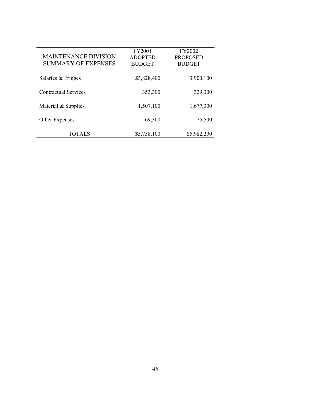|                             | <b>FY2001</b>  | FY2002          |
|-----------------------------|----------------|-----------------|
| <b>MAINTENANCE DIVISION</b> | <b>ADOPTED</b> | <b>PROPOSED</b> |
| <b>SUMMARY OF EXPENSES</b>  | <b>BUDGET</b>  | <b>BUDGET</b>   |
|                             |                |                 |
| Salaries & Fringes          | \$3,828,400    | 3,900,100       |
|                             |                |                 |
| <b>Contractual Services</b> | 353,300        | 329,300         |
|                             |                |                 |
| Material & Supplies         | 1,507,100      | 1,677,300       |
|                             |                |                 |
| Other Expenses              | 69,300         | 75,500          |
|                             |                |                 |
| TOTALS                      | \$5,758,100    | \$5,982,200     |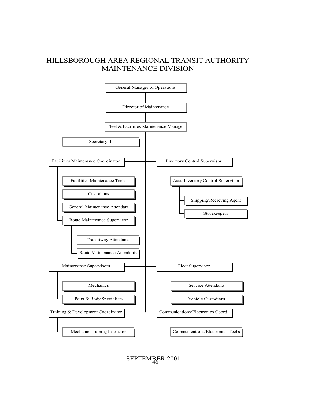# HILLSBOROUGH AREA REGIONAL TRANSIT AUTHORITY MAINTENANCE DIVISION



46 SEPTEMBER 2001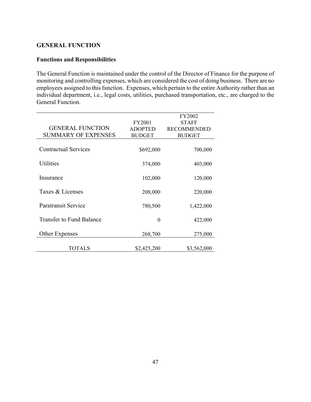### **GENERAL FUNCTION**

# **Functions and Responsibilities**

The General Function is maintained under the control of the Director of Finance for the purpose of monitoring and controlling expenses, which are considered the cost of doing business. There are no employees assigned to this function. Expenses, which pertain to the entire Authority rather than an individual department, i.e., legal costs, utilities, purchased transportation, etc., are charged to the General Function.

|                                 |                | <b>FY2002</b>      |
|---------------------------------|----------------|--------------------|
|                                 | FY2001         | <b>STAFF</b>       |
| <b>GENERAL FUNCTION</b>         | <b>ADOPTED</b> | <b>RECOMMENDED</b> |
| <b>SUMMARY OF EXPENSES</b>      | <b>BUDGET</b>  | <b>BUDGET</b>      |
|                                 |                |                    |
| <b>Contractual Services</b>     | \$692,000      | 700,000            |
|                                 |                |                    |
| <b>Utilities</b>                | 374,000        | 403,000            |
|                                 |                |                    |
| Insurance                       | 102,000        | 120,000            |
|                                 |                |                    |
| Taxes & Licenses                | 208,000        | 220,000            |
|                                 |                |                    |
| <b>Paratransit Service</b>      | 780,500        | 1,422,000          |
|                                 |                |                    |
| <b>Transfer to Fund Balance</b> | $\theta$       | 422,000            |
|                                 |                |                    |
|                                 |                |                    |
| Other Expenses                  | 268,700        | 275,000            |
|                                 |                |                    |
| TOTALS                          | \$2,425,200    | \$3,562,000        |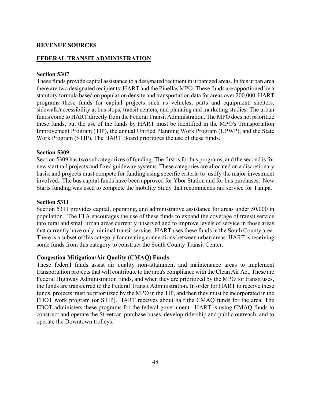### **REVENUE SOURCES**

## **FEDERAL TRANSIT ADMINISTRATION**

### **Section 5307**

These funds provide capital assistance to a designated recipient in urbanized areas. In this urban area there are two designated recipients: HART and the Pinellas MPO. These funds are apportioned by a statutory formula based on population density and transportation data for areas over 200,000. HART programs these funds for capital projects such as vehicles, parts and equipment, shelters, sidewalk/accessibility at bus stops, transit centers, and planning and marketing studies. The urban funds come to HART directly from the Federal Transit Administration. The MPO does not prioritize these funds, but the use of the funds by HART must be identified in the MPO's Transportation Improvement Program (TIP), the annual Unified Planning Work Program (UPWP), and the State Work Program (STIP). The HART Board prioritizes the use of these funds.

#### **Section 5309**

Section 5309 has two subcategorizes of funding. The first is for bus programs, and the second is for new start rail projects and fixed guideway systems. These categories are allocated on a discretionary basis, and projects must compete for funding using specific criteria to justify the major investment involved. The bus capital funds have been approved for Ybor Station and for bus purchases. New Starts funding was used to complete the mobility Study that recommends rail service for Tampa.

#### **Section 5311**

Section 5311 provides capital, operating, and administrative assistance for areas under 50,000 in population. The FTA encourages the use of these funds to expand the coverage of transit service into rural and small urban areas currently unserved and to improve levels of service in those areas that currently have only minimal transit service. HART uses these funds in the South County area. There is a subset of this category for creating connections between urban areas. HART is receiving some funds from this category to construct the South County Transit Center.

### **Congestion Mitigation/Air Quality (CMAQ) Funds**

These federal funds assist air quality non-attainment and maintenance areas to implement transportation projects that will contribute to the area's compliance with the Clean Air Act. These are Federal Highway Administration funds, and when they are prioritized by the MPO for transit uses, the funds are transferred to the Federal Transit Administration. In order for HART to receive these funds, projects must be prioritized by the MPO in the TIP, and then they must be incorporated in the FDOT work program (or STIP). HART receives about half the CMAQ funds for the area. The FDOT administers these programs for the federal government. HART is using CMAQ funds to construct and operate the Streetcar, purchase buses, develop ridership and public outreach, and to operate the Downtown trolleys.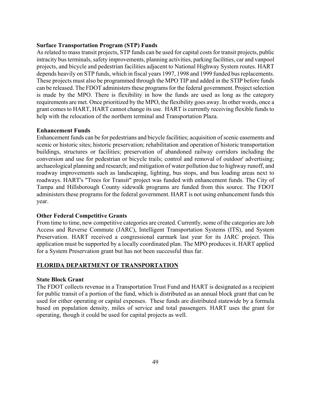#### **Surface Transportation Program (STP) Funds**

As related to mass transit projects, STP funds can be used for capital costs for transit projects, public intracity bus terminals, safety improvements, planning activities, parking facilities, car and vanpool projects, and bicycle and pedestrian facilities adjacent to National Highway System routes. HART depends heavily on STP funds, which in fiscal years 1997, 1998 and 1999 funded bus replacements. These projects must also be programmed through the MPO TIP and added in the STIP before funds can be released. The FDOT administers these programs for the federal government. Project selection is made by the MPO. There is flexibility in how the funds are used as long as the category requirements are met. Once prioritized by the MPO, the flexibility goes away. In other words, once a grant comes to HART, HART cannot change its use. HART is currently receiving flexible funds to help with the relocation of the northern terminal and Transportation Plaza.

#### **Enhancement Funds**

Enhancement funds can be for pedestrians and bicycle facilities; acquisition of scenic easements and scenic or historic sites; historic preservation; rehabilitation and operation of historic transportation buildings, structures or facilities; preservation of abandoned railway corridors including the conversion and use for pedestrian or bicycle trails; control and removal of outdoor' advertising; archaeological planning and research; and mitigation of water pollution due to highway runoff, and roadway improvements such as landscaping, lighting, bus stops, and bus loading areas next to roadways. HART's "Trees for Transit" project was funded with enhancement funds. The City of Tampa and Hillsborough County sidewalk programs are funded from this source. The FDOT administers these programs for the federal government. HART is not using enhancement funds this year.

#### **Other Federal Competitive Grants**

From time to time, new competitive categories are created. Currently, some of the categories are Job Access and Reverse Commute (JARC), Intelligent Transportation Systems (ITS), and System Preservation. HART received a congressional earmark last year for its JARC project. This application must be supported by a locally coordinated plan. The MPO produces it. HART applied for a System Preservation grant but has not been successful thus far.

### **FLORIDA DEPARTMENT OF TRANSPORTATION**

#### **State Block Grant**

The FDOT collects revenue in a Transportation Trust Fund and HART is designated as a recipient for public transit of a portion of the fund, which is distributed as an annual block grant that can be used for either operating or capital expenses. These funds are distributed statewide by a formula based on population density, miles of service and total passengers. HART uses the grant for operating, though it could be used for capital projects as well.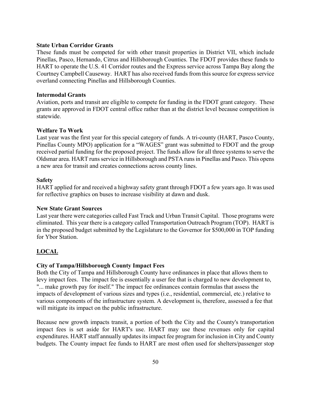#### **State Urban Corridor Grants**

These funds must be competed for with other transit properties in District VII, which include Pinellas, Pasco, Hernando, Citrus and Hillsborough Counties. The FDOT provides these funds to HART to operate the U.S. 41 Corridor routes and the Express service across Tampa Bay along the Courtney Campbell Causeway. HART has also received funds from this source for express service overland connecting Pinellas and Hillsborough Counties.

#### **Intermodal Grants**

Aviation, ports and transit are eligible to compete for funding in the FDOT grant category. These grants are approved in FDOT central office rather than at the district level because competition is statewide.

#### **Welfare To Work**

Last year was the first year for this special category of funds. A tri-county (HART, Pasco County, Pinellas County MPO) application for a "WAGES" grant was submitted to FDOT and the group received partial funding for the proposed project. The funds allow for all three systems to serve the Oldsmar area. HART runs service in Hillsborough and PSTA runs in Pinellas and Pasco. This opens a new area for transit and creates connections across county lines.

#### **Safety**

HART applied for and received a highway safety grant through FDOT a few years ago. It was used for reflective graphics on buses to increase visibility at dawn and dusk.

#### **New State Grant Sources**

Last year there were categories called Fast Track and Urban Transit Capital. Those programs were eliminated. This year there is a category called Transportation Outreach Program (TOP). HART is in the proposed budget submitted by the Legislature to the Governor for \$500,000 in TOP funding for Ybor Station.

#### **LOCAL**

#### **City of Tampa/Hillsborough County Impact Fees**

Both the City of Tampa and Hillsborough County have ordinances in place that allows them to levy impact fees. The impact fee is essentially a user fee that is charged to new development to, "... make growth pay for itself." The impact fee ordinances contain formulas that assess the impacts of development of various sizes and types (i.e., residential, commercial, etc.) relative to various components of the infrastructure system. A development is, therefore, assessed a fee that will mitigate its impact on the public infrastructure.

Because new growth impacts transit, a portion of both the City and the County's transportation impact fees is set aside for HART's use. HART may use these revenues only for capital expenditures. HART staff annually updates its impact fee program for inclusion in City and County budgets. The County impact fee funds to HART are most often used for shelters/passenger stop